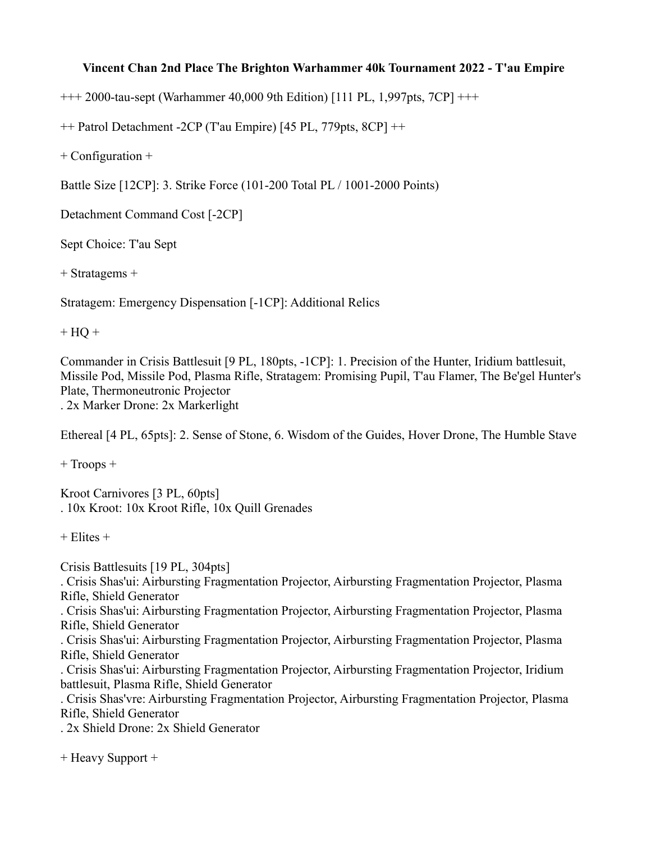## **Vincent Chan 2nd Place The Brighton Warhammer 40k Tournament 2022 - T'au Empire**

+++ 2000-tau-sept (Warhammer 40,000 9th Edition) [111 PL, 1,997pts, 7CP] +++

++ Patrol Detachment -2CP (T'au Empire) [45 PL, 779pts, 8CP] ++

+ Configuration +

Battle Size [12CP]: 3. Strike Force (101-200 Total PL / 1001-2000 Points)

Detachment Command Cost [-2CP]

Sept Choice: T'au Sept

+ Stratagems +

Stratagem: Emergency Dispensation [-1CP]: Additional Relics

 $+ HQ +$ 

Commander in Crisis Battlesuit [9 PL, 180pts, -1CP]: 1. Precision of the Hunter, Iridium battlesuit, Missile Pod, Missile Pod, Plasma Rifle, Stratagem: Promising Pupil, T'au Flamer, The Be'gel Hunter's Plate, Thermoneutronic Projector . 2x Marker Drone: 2x Markerlight

Ethereal [4 PL, 65pts]: 2. Sense of Stone, 6. Wisdom of the Guides, Hover Drone, The Humble Stave

+ Troops +

Kroot Carnivores [3 PL, 60pts] . 10x Kroot: 10x Kroot Rifle, 10x Quill Grenades

 $+$  Elites  $+$ 

Crisis Battlesuits [19 PL, 304pts] . Crisis Shas'ui: Airbursting Fragmentation Projector, Airbursting Fragmentation Projector, Plasma Rifle, Shield Generator . Crisis Shas'ui: Airbursting Fragmentation Projector, Airbursting Fragmentation Projector, Plasma Rifle, Shield Generator . Crisis Shas'ui: Airbursting Fragmentation Projector, Airbursting Fragmentation Projector, Plasma Rifle, Shield Generator . Crisis Shas'ui: Airbursting Fragmentation Projector, Airbursting Fragmentation Projector, Iridium battlesuit, Plasma Rifle, Shield Generator . Crisis Shas'vre: Airbursting Fragmentation Projector, Airbursting Fragmentation Projector, Plasma Rifle, Shield Generator . 2x Shield Drone: 2x Shield Generator

+ Heavy Support +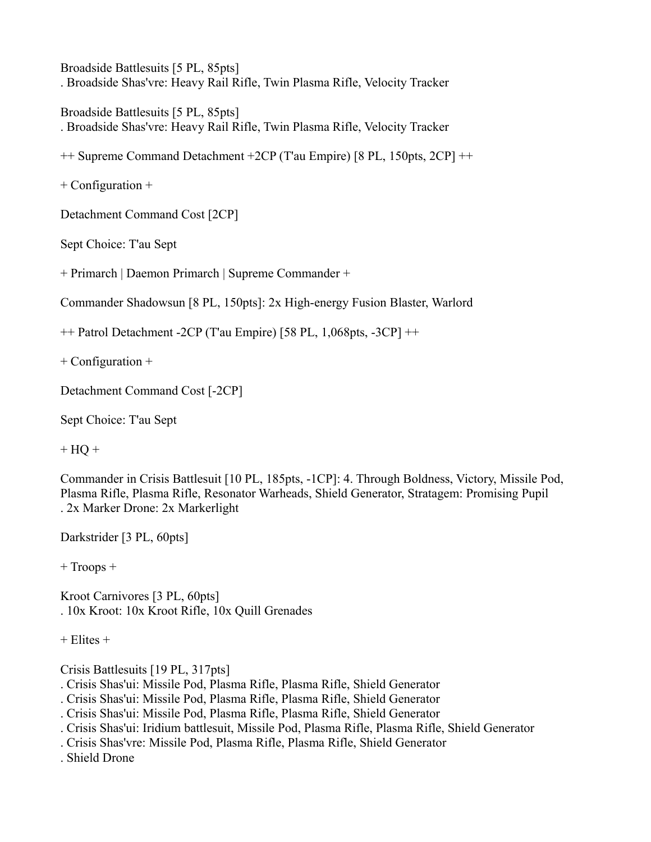Broadside Battlesuits [5 PL, 85pts] . Broadside Shas'vre: Heavy Rail Rifle, Twin Plasma Rifle, Velocity Tracker

Broadside Battlesuits [5 PL, 85pts] . Broadside Shas'vre: Heavy Rail Rifle, Twin Plasma Rifle, Velocity Tracker

++ Supreme Command Detachment +2CP (T'au Empire) [8 PL, 150pts, 2CP] ++

+ Configuration +

Detachment Command Cost [2CP]

Sept Choice: T'au Sept

+ Primarch | Daemon Primarch | Supreme Commander +

Commander Shadowsun [8 PL, 150pts]: 2x High-energy Fusion Blaster, Warlord

++ Patrol Detachment -2CP (T'au Empire) [58 PL, 1,068pts, -3CP] ++

+ Configuration +

Detachment Command Cost [-2CP]

Sept Choice: T'au Sept

 $+$  HQ  $+$ 

Commander in Crisis Battlesuit [10 PL, 185pts, -1CP]: 4. Through Boldness, Victory, Missile Pod, Plasma Rifle, Plasma Rifle, Resonator Warheads, Shield Generator, Stratagem: Promising Pupil . 2x Marker Drone: 2x Markerlight

Darkstrider [3 PL, 60pts]

+ Troops +

Kroot Carnivores [3 PL, 60pts] . 10x Kroot: 10x Kroot Rifle, 10x Quill Grenades

 $+$  Elites  $+$ 

Crisis Battlesuits [19 PL, 317pts]

- . Crisis Shas'ui: Missile Pod, Plasma Rifle, Plasma Rifle, Shield Generator
- . Crisis Shas'ui: Missile Pod, Plasma Rifle, Plasma Rifle, Shield Generator
- . Crisis Shas'ui: Missile Pod, Plasma Rifle, Plasma Rifle, Shield Generator
- . Crisis Shas'ui: Iridium battlesuit, Missile Pod, Plasma Rifle, Plasma Rifle, Shield Generator
- . Crisis Shas'vre: Missile Pod, Plasma Rifle, Plasma Rifle, Shield Generator

. Shield Drone